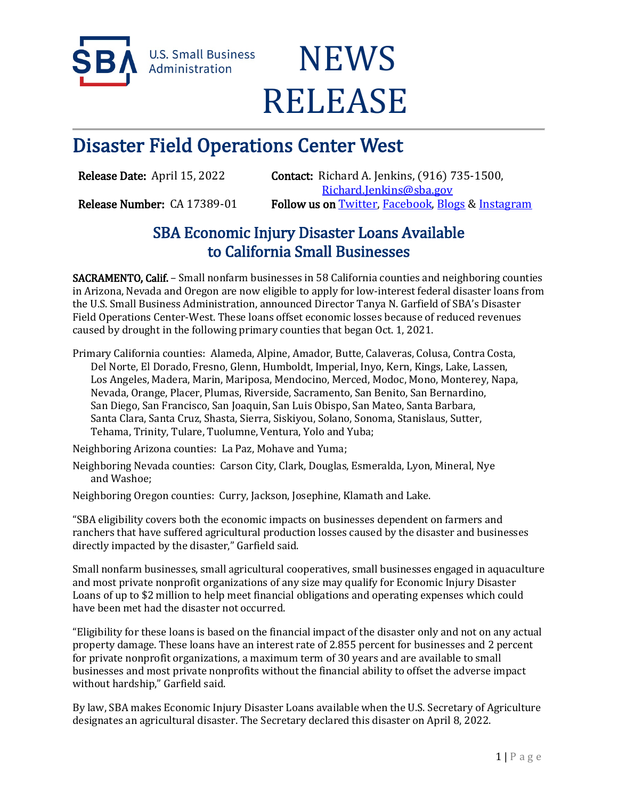

**U.S. Small Business** Administration

# **NEWS** RELEASE

# Disaster Field Operations Center West

Release Date: April 15, 2022 Contact: Richard A. Jenkins, (916) 735-1500, [Richard.Jenkins@sba.gov](mailto:Richard.Jenkins@sba.gov)  Release Number: CA 17389-01 Follow us on [Twitter,](http://www.twitter.com/SBAgov) [Facebook,](http://www.facebook.com/sbagov) [Blogs](http://www.sba.gov/blogs) & Instagram

## SBA Economic Injury Disaster Loans Available to California Small Businesses

SACRAMENTO, Calif. – Small nonfarm businesses in 58 California counties and neighboring counties in Arizona, Nevada and Oregon are now eligible to apply for low-interest federal disaster loans from the U.S. Small Business Administration, announced Director Tanya N. Garfield of SBA's Disaster Field Operations Center-West. These loans offset economic losses because of reduced revenues caused by drought in the following primary counties that began Oct. 1, 2021.

Primary California counties: Alameda, Alpine, Amador, Butte, Calaveras, Colusa, Contra Costa, Del Norte, El Dorado, Fresno, Glenn, Humboldt, Imperial, Inyo, Kern, Kings, Lake, Lassen, Los Angeles, Madera, Marin, Mariposa, Mendocino, Merced, Modoc, Mono, Monterey, Napa, Nevada, Orange, Placer, Plumas, Riverside, Sacramento, San Benito, San Bernardino, San Diego, San Francisco, San Joaquin, San Luis Obispo, San Mateo, Santa Barbara, Santa Clara, Santa Cruz, Shasta, Sierra, Siskiyou, Solano, Sonoma, Stanislaus, Sutter, Tehama, Trinity, Tulare, Tuolumne, Ventura, Yolo and Yuba;

Neighboring Arizona counties: La Paz, Mohave and Yuma;

Neighboring Nevada counties: Carson City, Clark, Douglas, Esmeralda, Lyon, Mineral, Nye and Washoe;

Neighboring Oregon counties: Curry, Jackson, Josephine, Klamath and Lake.

"SBA eligibility covers both the economic impacts on businesses dependent on farmers and ranchers that have suffered agricultural production losses caused by the disaster and businesses directly impacted by the disaster," Garfield said.

Small nonfarm businesses, small agricultural cooperatives, small businesses engaged in aquaculture and most private nonprofit organizations of any size may qualify for Economic Injury Disaster Loans of up to \$2 million to help meet financial obligations and operating expenses which could have been met had the disaster not occurred.

"Eligibility for these loans is based on the financial impact of the disaster only and not on any actual property damage. These loans have an interest rate of 2.855 percent for businesses and 2 percent for private nonprofit organizations, a maximum term of 30 years and are available to small businesses and most private nonprofits without the financial ability to offset the adverse impact without hardship," Garfield said.

By law, SBA makes Economic Injury Disaster Loans available when the U.S. Secretary of Agriculture designates an agricultural disaster. The Secretary declared this disaster on April 8, 2022.